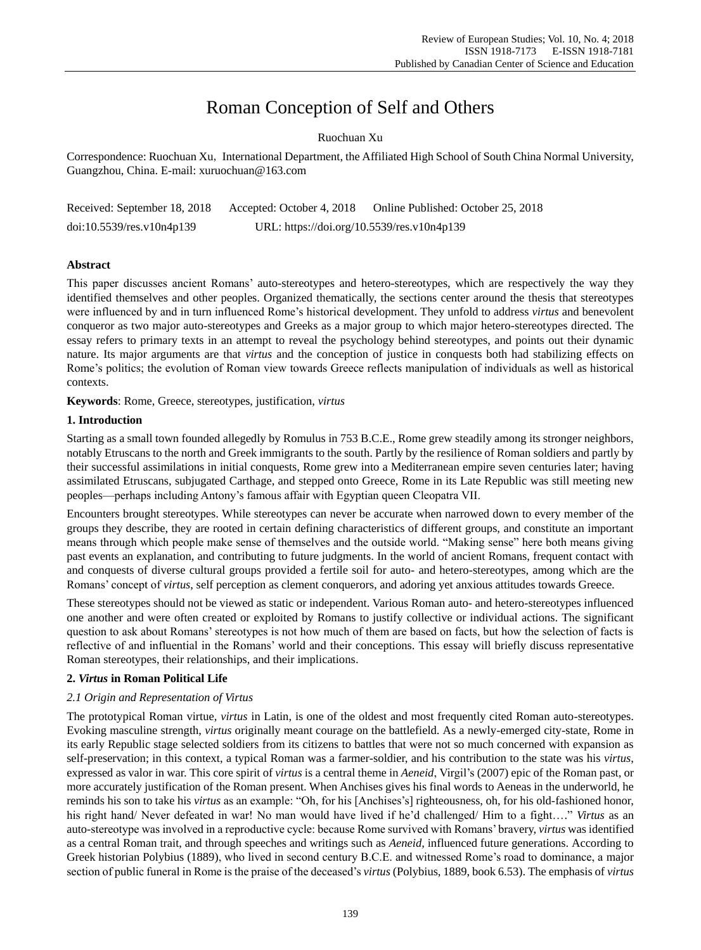# Roman Conception of Self and Others

# Ruochuan Xu

Correspondence: Ruochuan Xu, International Department, the Affiliated High School of South China Normal University, Guangzhou, China. E-mail: xuruochuan@163.com

| Received: September 18, 2018 | Accepted: October 4, 2018                  | Online Published: October 25, 2018 |
|------------------------------|--------------------------------------------|------------------------------------|
| $doi:10.5539$ /res.v10n4p139 | URL: https://doi.org/10.5539/res.v10n4p139 |                                    |

# **Abstract**

This paper discusses ancient Romans' auto-stereotypes and hetero-stereotypes, which are respectively the way they identified themselves and other peoples. Organized thematically, the sections center around the thesis that stereotypes were influenced by and in turn influenced Rome's historical development. They unfold to address *virtus* and benevolent conqueror as two major auto-stereotypes and Greeks as a major group to which major hetero-stereotypes directed. The essay refers to primary texts in an attempt to reveal the psychology behind stereotypes, and points out their dynamic nature. Its major arguments are that *virtus* and the conception of justice in conquests both had stabilizing effects on Rome's politics; the evolution of Roman view towards Greece reflects manipulation of individuals as well as historical contexts.

**Keywords**: Rome, Greece, stereotypes, justification, *virtus*

# **1. Introduction**

Starting as a small town founded allegedly by Romulus in 753 B.C.E., Rome grew steadily among its stronger neighbors, notably Etruscans to the north and Greek immigrants to the south. Partly by the resilience of Roman soldiers and partly by their successful assimilations in initial conquests, Rome grew into a Mediterranean empire seven centuries later; having assimilated Etruscans, subjugated Carthage, and stepped onto Greece, Rome in its Late Republic was still meeting new peoples—perhaps including Antony's famous affair with Egyptian queen Cleopatra VII.

Encounters brought stereotypes. While stereotypes can never be accurate when narrowed down to every member of the groups they describe, they are rooted in certain defining characteristics of different groups, and constitute an important means through which people make sense of themselves and the outside world. "Making sense" here both means giving past events an explanation, and contributing to future judgments. In the world of ancient Romans, frequent contact with and conquests of diverse cultural groups provided a fertile soil for auto- and hetero-stereotypes, among which are the Romans' concept of *virtus*, self perception as clement conquerors, and adoring yet anxious attitudes towards Greece.

These stereotypes should not be viewed as static or independent. Various Roman auto- and hetero-stereotypes influenced one another and were often created or exploited by Romans to justify collective or individual actions. The significant question to ask about Romans' stereotypes is not how much of them are based on facts, but how the selection of facts is reflective of and influential in the Romans' world and their conceptions. This essay will briefly discuss representative Roman stereotypes, their relationships, and their implications.

# **2.** *Virtus* **in Roman Political Life**

# *2.1 Origin and Representation of Virtus*

The prototypical Roman virtue, *virtus* in Latin, is one of the oldest and most frequently cited Roman auto-stereotypes. Evoking masculine strength, *virtus* originally meant courage on the battlefield. As a newly-emerged city-state, Rome in its early Republic stage selected soldiers from its citizens to battles that were not so much concerned with expansion as self-preservation; in this context, a typical Roman was a farmer-soldier, and his contribution to the state was his *virtus*, expressed as valor in war. This core spirit of *virtus* is a central theme in *Aeneid*, Virgil's (2007) epic of the Roman past, or more accurately justification of the Roman present. When Anchises gives his final words to Aeneas in the underworld, he reminds his son to take his *virtus* as an example: "Oh, for his [Anchises's] righteousness, oh, for his old-fashioned honor, his right hand/ Never defeated in war! No man would have lived if he'd challenged/ Him to a fight…." *Virtus* as an auto-stereotype was involved in a reproductive cycle: because Rome survived with Romans' bravery, *virtus* was identified as a central Roman trait, and through speeches and writings such as *Aeneid,* influenced future generations. According to Greek historian Polybius (1889), who lived in second century B.C.E. and witnessed Rome's road to dominance, a major section of public funeral in Rome is the praise of the deceased's *virtus* (Polybius, 1889, book 6.53). The emphasis of *virtus*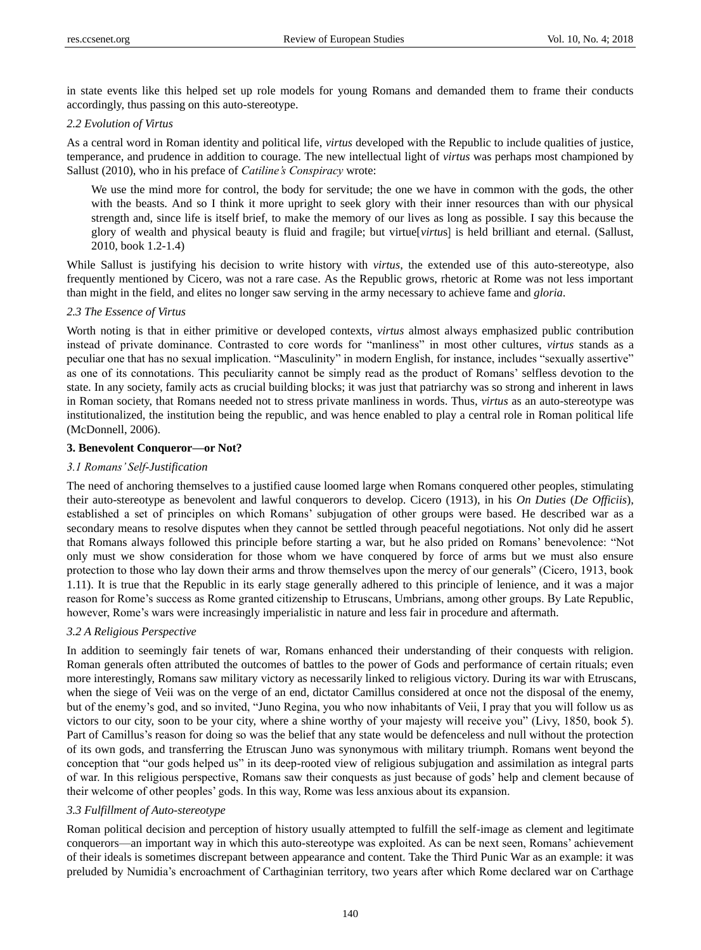in state events like this helped set up role models for young Romans and demanded them to frame their conducts accordingly, thus passing on this auto-stereotype.

#### *2.2 Evolution of Virtus*

As a central word in Roman identity and political life, *virtus* developed with the Republic to include qualities of justice, temperance, and prudence in addition to courage. The new intellectual light of *virtus* was perhaps most championed by Sallust (2010), who in his preface of *Catiline's Conspiracy* wrote:

We use the mind more for control, the body for servitude; the one we have in common with the gods, the other with the beasts. And so I think it more upright to seek glory with their inner resources than with our physical strength and, since life is itself brief, to make the memory of our lives as long as possible. I say this because the glory of wealth and physical beauty is fluid and fragile; but virtue[*virtu*s] is held brilliant and eternal. (Sallust, 2010, book 1.2-1.4)

While Sallust is justifying his decision to write history with *virtus*, the extended use of this auto-stereotype, also frequently mentioned by Cicero, was not a rare case. As the Republic grows, rhetoric at Rome was not less important than might in the field, and elites no longer saw serving in the army necessary to achieve fame and *gloria*.

# *2.3 The Essence of Virtus*

Worth noting is that in either primitive or developed contexts, *virtus* almost always emphasized public contribution instead of private dominance. Contrasted to core words for "manliness" in most other cultures, *virtus* stands as a peculiar one that has no sexual implication. "Masculinity" in modern English, for instance, includes "sexually assertive" as one of its connotations. This peculiarity cannot be simply read as the product of Romans' selfless devotion to the state. In any society, family acts as crucial building blocks; it was just that patriarchy was so strong and inherent in laws in Roman society, that Romans needed not to stress private manliness in words. Thus, *virtus* as an auto-stereotype was institutionalized, the institution being the republic, and was hence enabled to play a central role in Roman political life (McDonnell, 2006).

# **3. Benevolent Conqueror—or Not?**

#### *3.1 Romans' Self-Justification*

The need of anchoring themselves to a justified cause loomed large when Romans conquered other peoples, stimulating their auto-stereotype as benevolent and lawful conquerors to develop. Cicero (1913), in his *On Duties* (*De Officiis*), established a set of principles on which Romans' subjugation of other groups were based. He described war as a secondary means to resolve disputes when they cannot be settled through peaceful negotiations. Not only did he assert that Romans always followed this principle before starting a war, but he also prided on Romans' benevolence: "Not only must we show consideration for those whom we have conquered by force of arms but we must also ensure protection to those who lay down their arms and throw themselves upon the mercy of our generals" (Cicero, 1913, book 1.11). It is true that the Republic in its early stage generally adhered to this principle of lenience, and it was a major reason for Rome's success as Rome granted citizenship to Etruscans, Umbrians, among other groups. By Late Republic, however, Rome's wars were increasingly imperialistic in nature and less fair in procedure and aftermath.

## *3.2 A Religious Perspective*

In addition to seemingly fair tenets of war, Romans enhanced their understanding of their conquests with religion. Roman generals often attributed the outcomes of battles to the power of Gods and performance of certain rituals; even more interestingly, Romans saw military victory as necessarily linked to religious victory. During its war with Etruscans, when the siege of Veii was on the verge of an end, dictator Camillus considered at once not the disposal of the enemy, but of the enemy's god, and so invited, "Juno Regina, you who now inhabitants of Veii, I pray that you will follow us as victors to our city, soon to be your city, where a shine worthy of your majesty will receive you" (Livy, 1850, book 5). Part of Camillus's reason for doing so was the belief that any state would be defenceless and null without the protection of its own gods, and transferring the Etruscan Juno was synonymous with military triumph. Romans went beyond the conception that "our gods helped us" in its deep-rooted view of religious subjugation and assimilation as integral parts of war. In this religious perspective, Romans saw their conquests as just because of gods' help and clement because of their welcome of other peoples' gods. In this way, Rome was less anxious about its expansion.

#### *3.3 Fulfillment of Auto-stereotype*

Roman political decision and perception of history usually attempted to fulfill the self-image as clement and legitimate conquerors—an important way in which this auto-stereotype was exploited. As can be next seen, Romans' achievement of their ideals is sometimes discrepant between appearance and content. Take the Third Punic War as an example: it was preluded by Numidia's encroachment of Carthaginian territory, two years after which Rome declared war on Carthage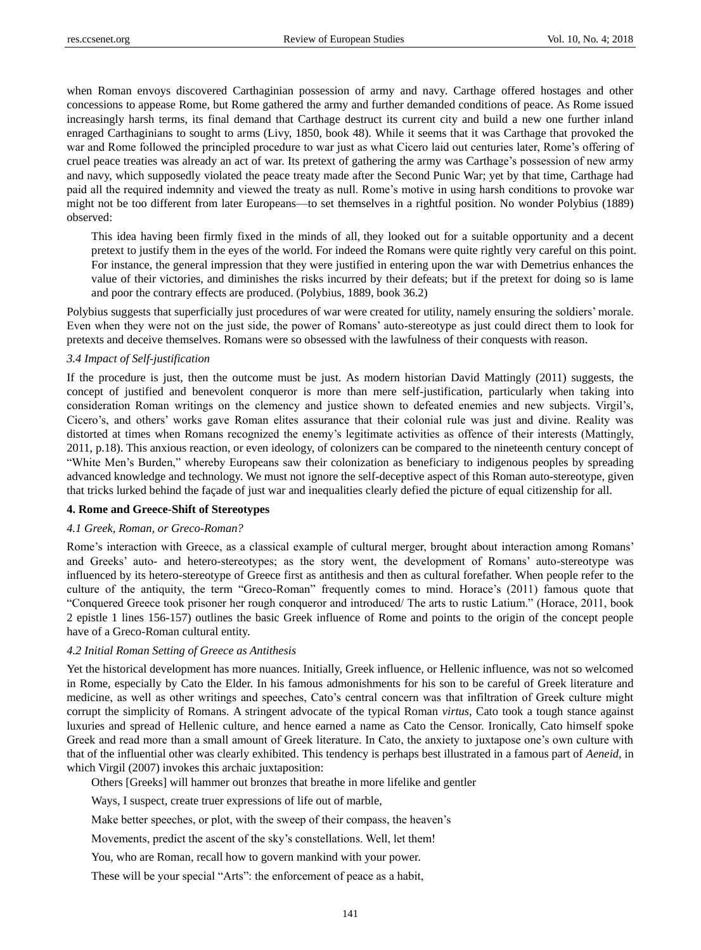when Roman envoys discovered Carthaginian possession of army and navy. Carthage offered hostages and other concessions to appease Rome, but Rome gathered the army and further demanded conditions of peace. As Rome issued increasingly harsh terms, its final demand that Carthage destruct its current city and build a new one further inland enraged Carthaginians to sought to arms (Livy, 1850, book 48). While it seems that it was Carthage that provoked the war and Rome followed the principled procedure to war just as what Cicero laid out centuries later, Rome's offering of cruel peace treaties was already an act of war. Its pretext of gathering the army was Carthage's possession of new army and navy, which supposedly violated the peace treaty made after the Second Punic War; yet by that time, Carthage had paid all the required indemnity and viewed the treaty as null. Rome's motive in using harsh conditions to provoke war might not be too different from later Europeans—to set themselves in a rightful position. No wonder Polybius (1889) observed:

This idea having been firmly fixed in the minds of all, they looked out for a suitable opportunity and a decent pretext to justify them in the eyes of the world. For indeed the Romans were quite rightly very careful on this point. For instance, the general impression that they were justified in entering upon the war with Demetrius enhances the value of their victories, and diminishes the risks incurred by their defeats; but if the pretext for doing so is lame and poor the contrary effects are produced. (Polybius, 1889, book 36.2)

Polybius suggests that superficially just procedures of war were created for utility, namely ensuring the soldiers' morale. Even when they were not on the just side, the power of Romans' auto-stereotype as just could direct them to look for pretexts and deceive themselves. Romans were so obsessed with the lawfulness of their conquests with reason.

# *3.4 Impact of Self-justification*

If the procedure is just, then the outcome must be just. As modern historian David Mattingly (2011) suggests, the concept of justified and benevolent conqueror is more than mere self-justification, particularly when taking into consideration Roman writings on the clemency and justice shown to defeated enemies and new subjects. Virgil's, Cicero's, and others' works gave Roman elites assurance that their colonial rule was just and divine. Reality was distorted at times when Romans recognized the enemy's legitimate activities as offence of their interests (Mattingly, 2011, p.18). This anxious reaction, or even ideology, of colonizers can be compared to the nineteenth century concept of "White Men's Burden," whereby Europeans saw their colonization as beneficiary to indigenous peoples by spreading advanced knowledge and technology. We must not ignore the self-deceptive aspect of this Roman auto-stereotype, given that tricks lurked behind the façade of just war and inequalities clearly defied the picture of equal citizenship for all.

## **4. Rome and Greece-Shift of Stereotypes**

#### *4.1 Greek, Roman, or Greco-Roman?*

Rome's interaction with Greece, as a classical example of cultural merger, brought about interaction among Romans' and Greeks' auto- and hetero-stereotypes; as the story went, the development of Romans' auto-stereotype was influenced by its hetero-stereotype of Greece first as antithesis and then as cultural forefather. When people refer to the culture of the antiquity, the term "Greco-Roman" frequently comes to mind. Horace's (2011) famous quote that "Conquered Greece took prisoner her rough conqueror and introduced/ The arts to rustic Latium." (Horace, 2011, book 2 epistle 1 lines 156-157) outlines the basic Greek influence of Rome and points to the origin of the concept people have of a Greco-Roman cultural entity.

## *4.2 Initial Roman Setting of Greece as Antithesis*

Yet the historical development has more nuances. Initially, Greek influence, or Hellenic influence, was not so welcomed in Rome, especially by Cato the Elder. In his famous admonishments for his son to be careful of Greek literature and medicine, as well as other writings and speeches, Cato's central concern was that infiltration of Greek culture might corrupt the simplicity of Romans. A stringent advocate of the typical Roman *virtus*, Cato took a tough stance against luxuries and spread of Hellenic culture, and hence earned a name as Cato the Censor. Ironically, Cato himself spoke Greek and read more than a small amount of Greek literature. In Cato, the anxiety to juxtapose one's own culture with that of the influential other was clearly exhibited. This tendency is perhaps best illustrated in a famous part of *Aeneid*, in which Virgil (2007) invokes this archaic juxtaposition:

Others [Greeks] will hammer out bronzes that breathe in more lifelike and gentler

Ways, I suspect, create truer expressions of life out of marble,

Make better speeches, or plot, with the sweep of their compass, the heaven's

Movements, predict the ascent of the sky's constellations. Well, let them!

You, who are Roman, recall how to govern mankind with your power.

These will be your special "Arts": the enforcement of peace as a habit,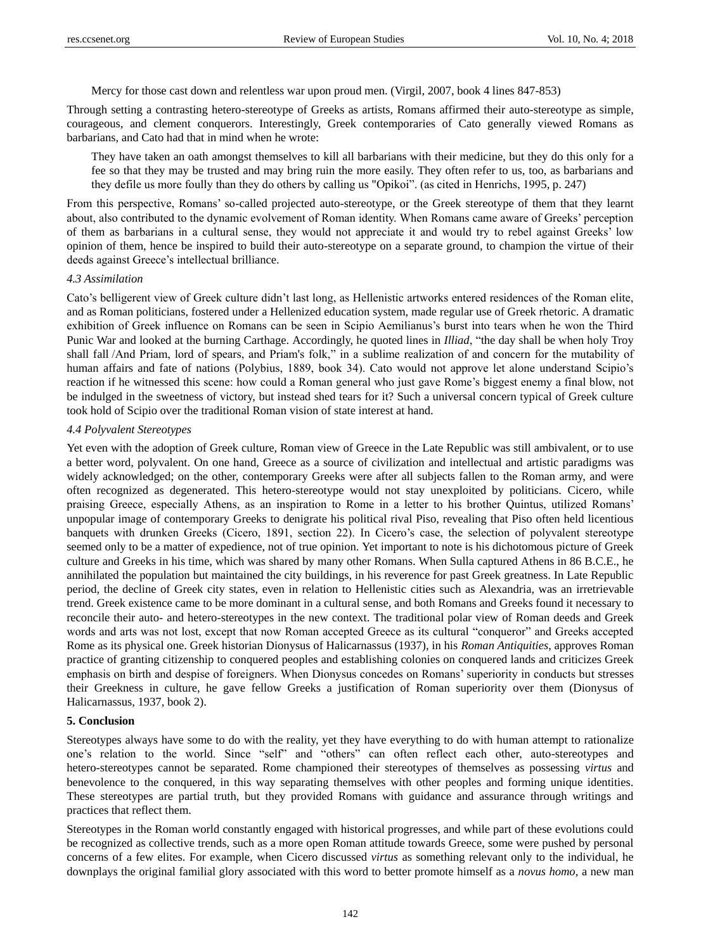Mercy for those cast down and relentless war upon proud men. (Virgil, 2007, book 4 lines 847-853)

Through setting a contrasting hetero-stereotype of Greeks as artists, Romans affirmed their auto-stereotype as simple, courageous, and clement conquerors. Interestingly, Greek contemporaries of Cato generally viewed Romans as barbarians, and Cato had that in mind when he wrote:

They have taken an oath amongst themselves to kill all barbarians with their medicine, but they do this only for a fee so that they may be trusted and may bring ruin the more easily. They often refer to us, too, as barbarians and they defile us more foully than they do others by calling us "Opikoi". (as cited in Henrichs, 1995, p. 247)

From this perspective, Romans' so-called projected auto-stereotype, or the Greek stereotype of them that they learnt about, also contributed to the dynamic evolvement of Roman identity. When Romans came aware of Greeks' perception of them as barbarians in a cultural sense, they would not appreciate it and would try to rebel against Greeks' low opinion of them, hence be inspired to build their auto-stereotype on a separate ground, to champion the virtue of their deeds against Greece's intellectual brilliance.

# *4.3 Assimilation*

Cato's belligerent view of Greek culture didn't last long, as Hellenistic artworks entered residences of the Roman elite, and as Roman politicians, fostered under a Hellenized education system, made regular use of Greek rhetoric. A dramatic exhibition of Greek influence on Romans can be seen in Scipio Aemilianus's burst into tears when he won the Third Punic War and looked at the burning Carthage. Accordingly, he quoted lines in *Illiad*, "the day shall be when holy Troy shall fall /And Priam, lord of spears, and Priam's folk," in a sublime realization of and concern for the mutability of human affairs and fate of nations (Polybius, 1889, book 34). Cato would not approve let alone understand Scipio's reaction if he witnessed this scene: how could a Roman general who just gave Rome's biggest enemy a final blow, not be indulged in the sweetness of victory, but instead shed tears for it? Such a universal concern typical of Greek culture took hold of Scipio over the traditional Roman vision of state interest at hand.

## *4.4 Polyvalent Stereotypes*

Yet even with the adoption of Greek culture, Roman view of Greece in the Late Republic was still ambivalent, or to use a better word, polyvalent. On one hand, Greece as a source of civilization and intellectual and artistic paradigms was widely acknowledged; on the other, contemporary Greeks were after all subjects fallen to the Roman army, and were often recognized as degenerated. This hetero-stereotype would not stay unexploited by politicians. Cicero, while praising Greece, especially Athens, as an inspiration to Rome in a letter to his brother Quintus, utilized Romans' unpopular image of contemporary Greeks to denigrate his political rival Piso, revealing that Piso often held licentious banquets with drunken Greeks (Cicero, 1891, section 22). In Cicero's case, the selection of polyvalent stereotype seemed only to be a matter of expedience, not of true opinion. Yet important to note is his dichotomous picture of Greek culture and Greeks in his time, which was shared by many other Romans. When Sulla captured Athens in 86 B.C.E., he annihilated the population but maintained the city buildings, in his reverence for past Greek greatness. In Late Republic period, the decline of Greek city states, even in relation to Hellenistic cities such as Alexandria, was an irretrievable trend. Greek existence came to be more dominant in a cultural sense, and both Romans and Greeks found it necessary to reconcile their auto- and hetero-stereotypes in the new context. The traditional polar view of Roman deeds and Greek words and arts was not lost, except that now Roman accepted Greece as its cultural "conqueror" and Greeks accepted Rome as its physical one. Greek historian Dionysus of Halicarnassus (1937), in his *Roman Antiquities*, approves Roman practice of granting citizenship to conquered peoples and establishing colonies on conquered lands and criticizes Greek emphasis on birth and despise of foreigners. When Dionysus concedes on Romans' superiority in conducts but stresses their Greekness in culture, he gave fellow Greeks a justification of Roman superiority over them (Dionysus of Halicarnassus, 1937, book 2).

# **5. Conclusion**

Stereotypes always have some to do with the reality, yet they have everything to do with human attempt to rationalize one's relation to the world. Since "self" and "others" can often reflect each other, auto-stereotypes and hetero-stereotypes cannot be separated. Rome championed their stereotypes of themselves as possessing *virtus* and benevolence to the conquered, in this way separating themselves with other peoples and forming unique identities. These stereotypes are partial truth, but they provided Romans with guidance and assurance through writings and practices that reflect them.

Stereotypes in the Roman world constantly engaged with historical progresses, and while part of these evolutions could be recognized as collective trends, such as a more open Roman attitude towards Greece, some were pushed by personal concerns of a few elites. For example, when Cicero discussed *virtus* as something relevant only to the individual, he downplays the original familial glory associated with this word to better promote himself as a *novus homo,* a new man